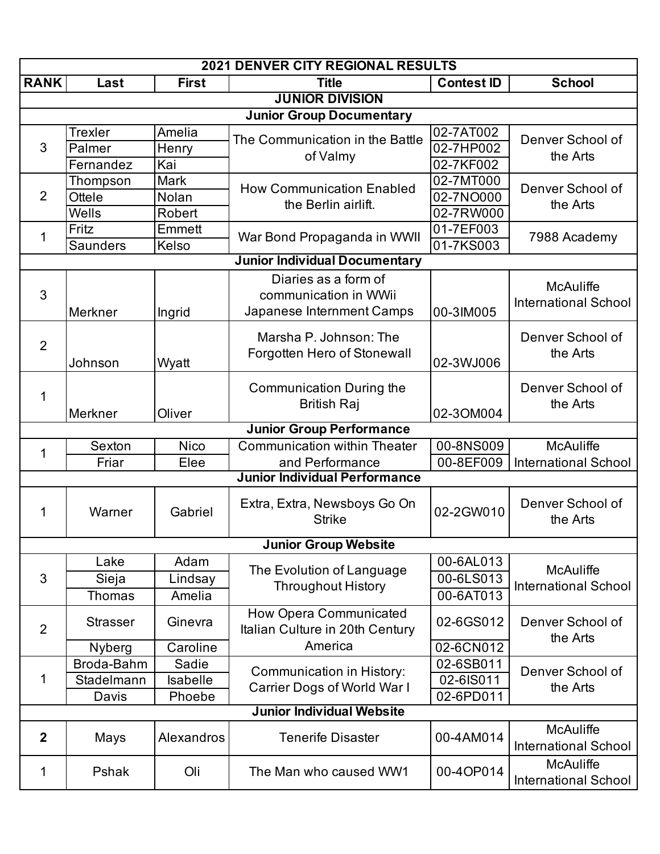| <b>2021 DENVER CITY REGIONAL RESULTS</b> |                 |                 |                                                                        |                   |                                                 |  |  |  |
|------------------------------------------|-----------------|-----------------|------------------------------------------------------------------------|-------------------|-------------------------------------------------|--|--|--|
| <b>RANK</b>                              | Last            | <b>First</b>    | <b>Title</b>                                                           | <b>Contest ID</b> | <b>School</b>                                   |  |  |  |
| <b>JUNIOR DIVISION</b>                   |                 |                 |                                                                        |                   |                                                 |  |  |  |
| <b>Junior Group Documentary</b>          |                 |                 |                                                                        |                   |                                                 |  |  |  |
| 3                                        | <b>Trexler</b>  | Amelia          | The Communication in the Battle                                        | 02-7AT002         | Denver School of<br>the Arts                    |  |  |  |
|                                          | Palmer          | Henry           | of Valmy                                                               | 02-7HP002         |                                                 |  |  |  |
|                                          | Fernandez       | Kai             |                                                                        | 02-7KF002         |                                                 |  |  |  |
| 2                                        | Thompson        | <b>Mark</b>     | <b>How Communication Enabled</b>                                       | 02-7MT000         | Denver School of<br>the Arts                    |  |  |  |
|                                          | Ottele          | Nolan           | the Berlin airlift.                                                    | 02-7NO000         |                                                 |  |  |  |
|                                          | Wells           | Robert          |                                                                        | 02-7RW000         |                                                 |  |  |  |
| 1                                        | Fritz           | Emmett          |                                                                        | 01-7EF003         | 7988 Academy                                    |  |  |  |
|                                          | <b>Saunders</b> | Kelso           | War Bond Propaganda in WWII                                            | 01-7KS003         |                                                 |  |  |  |
|                                          |                 |                 | <b>Junior Individual Documentary</b>                                   |                   |                                                 |  |  |  |
|                                          |                 |                 | Diaries as a form of                                                   |                   |                                                 |  |  |  |
| 3                                        |                 |                 | communication in WWii                                                  |                   | <b>McAuliffe</b><br><b>International School</b> |  |  |  |
|                                          | Merkner         | Ingrid          | Japanese Internment Camps                                              | 00-3IM005         |                                                 |  |  |  |
|                                          |                 |                 | Marsha P. Johnson: The                                                 |                   | Denver School of                                |  |  |  |
| $\overline{2}$                           |                 |                 |                                                                        |                   |                                                 |  |  |  |
|                                          | Johnson         | Wyatt           | Forgotten Hero of Stonewall                                            | 02-3WJ006         | the Arts                                        |  |  |  |
|                                          |                 |                 |                                                                        |                   |                                                 |  |  |  |
| 1                                        |                 |                 | Communication During the                                               |                   | Denver School of<br>the Arts                    |  |  |  |
|                                          | Merkner         | Oliver          | <b>British Raj</b>                                                     | 02-3OM004         |                                                 |  |  |  |
|                                          |                 |                 | <b>Junior Group Performance</b>                                        |                   |                                                 |  |  |  |
|                                          | Sexton          | <b>Nico</b>     | <b>Communication within Theater</b>                                    | 00-8NS009         | <b>McAuliffe</b>                                |  |  |  |
| 1                                        | Friar           | Elee            | and Performance                                                        | 00-8EF009         | <b>International School</b>                     |  |  |  |
|                                          |                 |                 | <b>Junior Individual Performance</b>                                   |                   |                                                 |  |  |  |
|                                          | Warner          | Gabriel         | Extra, Extra, Newsboys Go On<br><b>Strike</b>                          | 02-2GW010         | Denver School of                                |  |  |  |
| 1                                        |                 |                 |                                                                        |                   | the Arts                                        |  |  |  |
|                                          |                 |                 |                                                                        |                   |                                                 |  |  |  |
|                                          |                 |                 | <b>Junior Group Website</b>                                            |                   |                                                 |  |  |  |
|                                          | Lake            | Adam            | The Evolution of Language                                              | 00-6AL013         | <b>McAuliffe</b>                                |  |  |  |
| 3                                        | Sieja           | Lindsay         | <b>Throughout History</b>                                              | 00-6LS013         | <b>International School</b>                     |  |  |  |
|                                          | <b>Thomas</b>   | Amelia          |                                                                        | 00-6AT013         |                                                 |  |  |  |
|                                          | <b>Strasser</b> | Ginevra         | How Opera Communicated                                                 | 02-6GS012         | Denver School of<br>the Arts                    |  |  |  |
| $\overline{2}$                           |                 |                 | Italian Culture in 20th Century<br>America                             |                   |                                                 |  |  |  |
|                                          | <b>Nyberg</b>   | Caroline        |                                                                        | 02-6CN012         |                                                 |  |  |  |
| 1                                        | Broda-Bahm      | Sadie           | <b>Communication in History:</b><br><b>Carrier Dogs of World War I</b> | 02-6SB011         | Denver School of<br>the Arts                    |  |  |  |
|                                          | Stadelmann      | <b>Isabelle</b> |                                                                        | 02-6IS011         |                                                 |  |  |  |
|                                          | Davis           | Phoebe          |                                                                        | 02-6PD011         |                                                 |  |  |  |
|                                          |                 |                 | <b>Junior Individual Website</b>                                       |                   |                                                 |  |  |  |
| $\boldsymbol{2}$                         | Mays            | Alexandros      | <b>Tenerife Disaster</b>                                               | 00-4AM014         | <b>McAuliffe</b>                                |  |  |  |
|                                          |                 |                 |                                                                        |                   | <b>International School</b>                     |  |  |  |
| 1                                        | Pshak           | Oli             | The Man who caused WW1                                                 | 00-4OP014         | <b>McAuliffe</b>                                |  |  |  |
|                                          |                 |                 |                                                                        |                   | <b>International School</b>                     |  |  |  |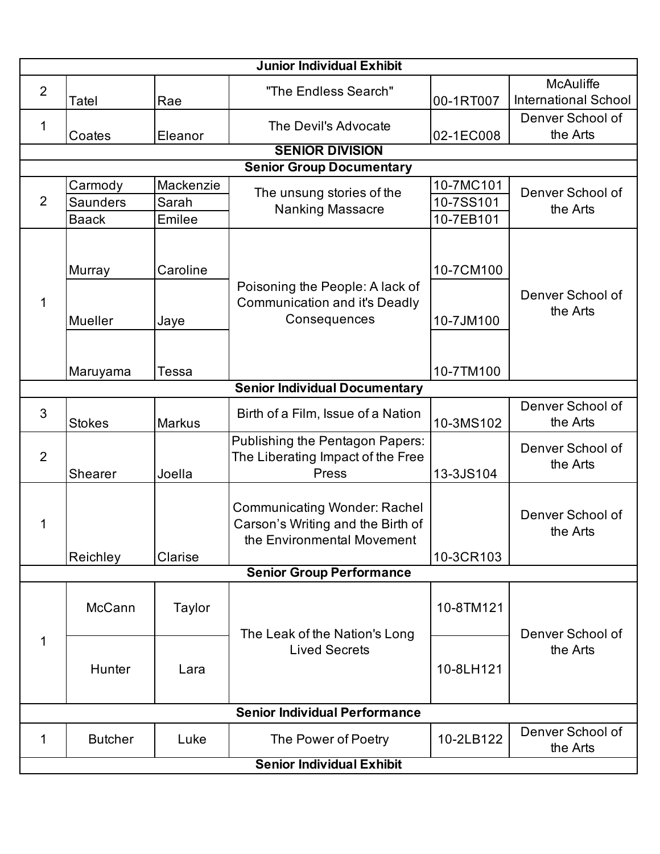| <b>Junior Individual Exhibit</b>     |                   |                  |                                                                                                        |                        |                                                 |  |  |
|--------------------------------------|-------------------|------------------|--------------------------------------------------------------------------------------------------------|------------------------|-------------------------------------------------|--|--|
| $\overline{2}$                       | Tatel             | Rae              | "The Endless Search"                                                                                   | 00-1RT007              | <b>McAuliffe</b><br><b>International School</b> |  |  |
| 1                                    | Coates            | Eleanor          | The Devil's Advocate                                                                                   | 02-1EC008              | Denver School of<br>the Arts                    |  |  |
|                                      |                   |                  | <b>SENIOR DIVISION</b>                                                                                 |                        |                                                 |  |  |
|                                      |                   |                  | <b>Senior Group Documentary</b>                                                                        |                        |                                                 |  |  |
| $\overline{2}$                       | Carmody           | Mackenzie        | The unsung stories of the                                                                              | 10-7MC101              | Denver School of<br>the Arts                    |  |  |
|                                      | <b>Saunders</b>   | Sarah            | <b>Nanking Massacre</b>                                                                                | 10-7SS101              |                                                 |  |  |
|                                      | <b>Baack</b>      | Emilee           |                                                                                                        | 10-7EB101              |                                                 |  |  |
| 1                                    | Murray<br>Mueller | Caroline<br>Jaye | Poisoning the People: A lack of<br><b>Communication and it's Deadly</b><br>Consequences                | 10-7CM100<br>10-7JM100 | Denver School of<br>the Arts                    |  |  |
|                                      |                   |                  |                                                                                                        |                        |                                                 |  |  |
|                                      | Maruyama          | Tessa            |                                                                                                        | 10-7TM100              |                                                 |  |  |
| <b>Senior Individual Documentary</b> |                   |                  |                                                                                                        |                        |                                                 |  |  |
| 3                                    | <b>Stokes</b>     | <b>Markus</b>    | Birth of a Film, Issue of a Nation                                                                     | 10-3MS102              | Denver School of<br>the Arts                    |  |  |
| $\overline{2}$                       | Shearer           | Joella           | Publishing the Pentagon Papers:<br>The Liberating Impact of the Free<br>Press                          | 13-3JS104              | Denver School of<br>the Arts                    |  |  |
| 1                                    | Reichley          | Clarise          | <b>Communicating Wonder: Rachel</b><br>Carson's Writing and the Birth of<br>the Environmental Movement | 10-3CR103              | Denver School of<br>the Arts                    |  |  |
|                                      |                   |                  | <b>Senior Group Performance</b>                                                                        |                        |                                                 |  |  |
| $\mathbf 1$                          | McCann            | Taylor           | The Leak of the Nation's Long                                                                          | 10-8TM121              | Denver School of                                |  |  |
|                                      | Hunter            | Lara             | <b>Lived Secrets</b>                                                                                   | 10-8LH121              | the Arts                                        |  |  |
| <b>Senior Individual Performance</b> |                   |                  |                                                                                                        |                        |                                                 |  |  |
| 1                                    | <b>Butcher</b>    | Luke             | The Power of Poetry                                                                                    | 10-2LB122              | Denver School of<br>the Arts                    |  |  |
| <b>Senior Individual Exhibit</b>     |                   |                  |                                                                                                        |                        |                                                 |  |  |